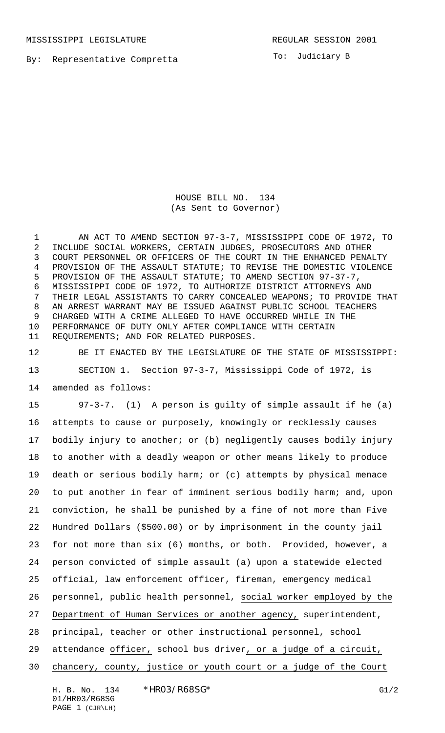MISSISSIPPI LEGISLATURE **REGULAR SESSION 2001** 

By: Representative Compretta

To: Judiciary B

HOUSE BILL NO. 134 (As Sent to Governor)

1 AN ACT TO AMEND SECTION 97-3-7, MISSISSIPPI CODE OF 1972, TO INCLUDE SOCIAL WORKERS, CERTAIN JUDGES, PROSECUTORS AND OTHER COURT PERSONNEL OR OFFICERS OF THE COURT IN THE ENHANCED PENALTY PROVISION OF THE ASSAULT STATUTE; TO REVISE THE DOMESTIC VIOLENCE PROVISION OF THE ASSAULT STATUTE; TO AMEND SECTION 97-37-7, MISSISSIPPI CODE OF 1972, TO AUTHORIZE DISTRICT ATTORNEYS AND THEIR LEGAL ASSISTANTS TO CARRY CONCEALED WEAPONS; TO PROVIDE THAT AN ARREST WARRANT MAY BE ISSUED AGAINST PUBLIC SCHOOL TEACHERS CHARGED WITH A CRIME ALLEGED TO HAVE OCCURRED WHILE IN THE PERFORMANCE OF DUTY ONLY AFTER COMPLIANCE WITH CERTAIN REQUIREMENTS; AND FOR RELATED PURPOSES.

 BE IT ENACTED BY THE LEGISLATURE OF THE STATE OF MISSISSIPPI: SECTION 1. Section 97-3-7, Mississippi Code of 1972, is amended as follows:

 97-3-7. (1) A person is guilty of simple assault if he (a) attempts to cause or purposely, knowingly or recklessly causes bodily injury to another; or (b) negligently causes bodily injury to another with a deadly weapon or other means likely to produce death or serious bodily harm; or (c) attempts by physical menace to put another in fear of imminent serious bodily harm; and, upon conviction, he shall be punished by a fine of not more than Five Hundred Dollars (\$500.00) or by imprisonment in the county jail for not more than six (6) months, or both. Provided, however, a person convicted of simple assault (a) upon a statewide elected official, law enforcement officer, fireman, emergency medical personnel, public health personnel, social worker employed by the Department of Human Services or another agency, superintendent, principal, teacher or other instructional personnel, school attendance officer, school bus driver, or a judge of a circuit, chancery, county, justice or youth court or a judge of the Court

H. B. No. 134 \* HRO3/R68SG\* G1/2 01/HR03/R68SG PAGE 1 (CJR\LH)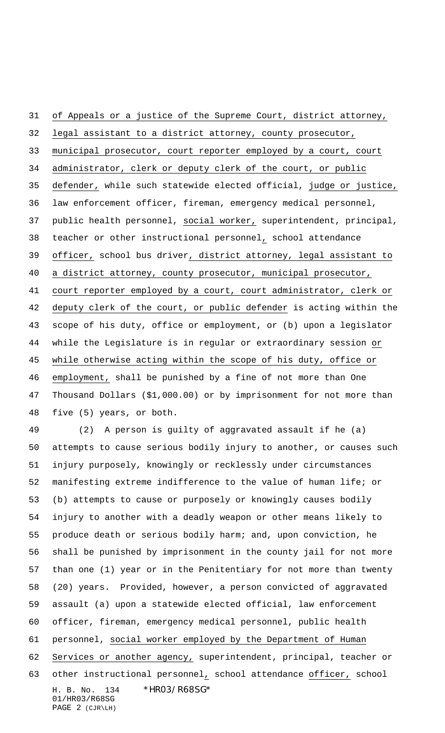of Appeals or a justice of the Supreme Court, district attorney, legal assistant to a district attorney, county prosecutor, municipal prosecutor, court reporter employed by a court, court administrator, clerk or deputy clerk of the court, or public defender, while such statewide elected official, judge or justice, law enforcement officer, fireman, emergency medical personnel, public health personnel, social worker, superintendent, principal, teacher or other instructional personnel, school attendance officer, school bus driver, district attorney, legal assistant to a district attorney, county prosecutor, municipal prosecutor, court reporter employed by a court, court administrator, clerk or deputy clerk of the court, or public defender is acting within the scope of his duty, office or employment, or (b) upon a legislator while the Legislature is in regular or extraordinary session or while otherwise acting within the scope of his duty, office or employment, shall be punished by a fine of not more than One Thousand Dollars (\$1,000.00) or by imprisonment for not more than five (5) years, or both. (2) A person is guilty of aggravated assault if he (a)

H. B. No. 134 \*HR03/R68SG\* 01/HR03/R68SG PAGE 2 (CJR\LH) attempts to cause serious bodily injury to another, or causes such injury purposely, knowingly or recklessly under circumstances manifesting extreme indifference to the value of human life; or (b) attempts to cause or purposely or knowingly causes bodily injury to another with a deadly weapon or other means likely to produce death or serious bodily harm; and, upon conviction, he shall be punished by imprisonment in the county jail for not more than one (1) year or in the Penitentiary for not more than twenty (20) years. Provided, however, a person convicted of aggravated assault (a) upon a statewide elected official, law enforcement officer, fireman, emergency medical personnel, public health personnel, social worker employed by the Department of Human 62 Services or another agency, superintendent, principal, teacher or 63 other instructional personnel, school attendance officer, school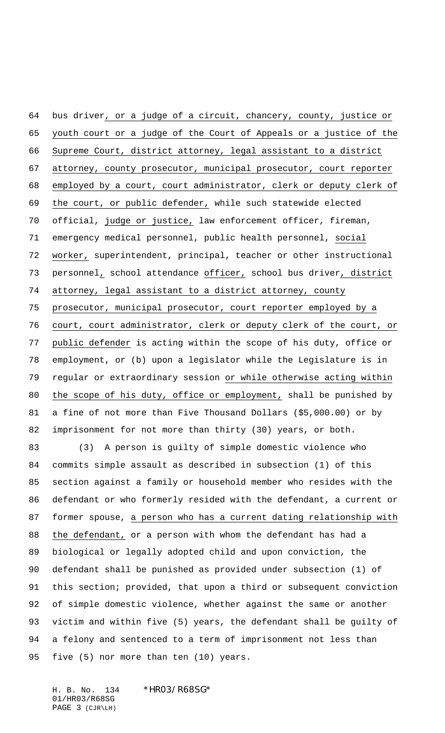bus driver, or a judge of a circuit, chancery, county, justice or youth court or a judge of the Court of Appeals or a justice of the Supreme Court, district attorney, legal assistant to a district attorney, county prosecutor, municipal prosecutor, court reporter employed by a court, court administrator, clerk or deputy clerk of the court, or public defender, while such statewide elected official, judge or justice, law enforcement officer, fireman, emergency medical personnel, public health personnel, social worker, superintendent, principal, teacher or other instructional personnel, school attendance officer, school bus driver, district attorney, legal assistant to a district attorney, county prosecutor, municipal prosecutor, court reporter employed by a court, court administrator, clerk or deputy clerk of the court, or public defender is acting within the scope of his duty, office or employment, or (b) upon a legislator while the Legislature is in regular or extraordinary session or while otherwise acting within the scope of his duty, office or employment, shall be punished by a fine of not more than Five Thousand Dollars (\$5,000.00) or by imprisonment for not more than thirty (30) years, or both.

 (3) A person is guilty of simple domestic violence who commits simple assault as described in subsection (1) of this section against a family or household member who resides with the defendant or who formerly resided with the defendant, a current or former spouse, a person who has a current dating relationship with the defendant, or a person with whom the defendant has had a biological or legally adopted child and upon conviction, the defendant shall be punished as provided under subsection (1) of this section; provided, that upon a third or subsequent conviction of simple domestic violence, whether against the same or another victim and within five (5) years, the defendant shall be guilty of a felony and sentenced to a term of imprisonment not less than five (5) nor more than ten (10) years.

H. B. No. 134 \* HRO3/R68SG\* 01/HR03/R68SG PAGE 3 (CJR\LH)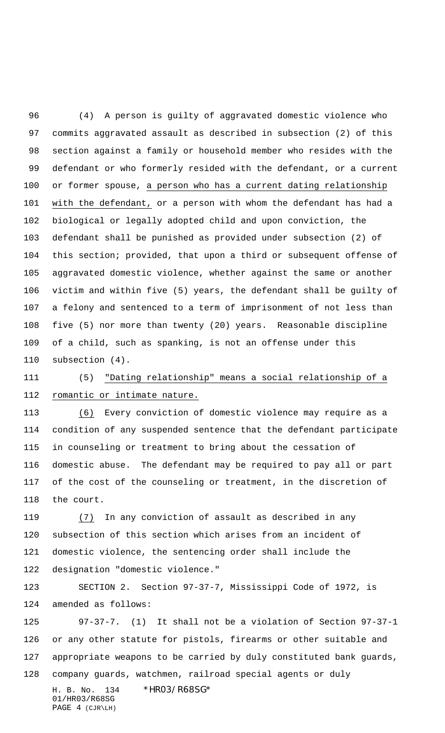(4) A person is guilty of aggravated domestic violence who commits aggravated assault as described in subsection (2) of this section against a family or household member who resides with the defendant or who formerly resided with the defendant, or a current or former spouse, a person who has a current dating relationship with the defendant, or a person with whom the defendant has had a biological or legally adopted child and upon conviction, the defendant shall be punished as provided under subsection (2) of this section; provided, that upon a third or subsequent offense of aggravated domestic violence, whether against the same or another victim and within five (5) years, the defendant shall be guilty of a felony and sentenced to a term of imprisonment of not less than five (5) nor more than twenty (20) years. Reasonable discipline of a child, such as spanking, is not an offense under this subsection (4).

 (5) "Dating relationship" means a social relationship of a romantic or intimate nature.

 (6) Every conviction of domestic violence may require as a condition of any suspended sentence that the defendant participate in counseling or treatment to bring about the cessation of domestic abuse. The defendant may be required to pay all or part of the cost of the counseling or treatment, in the discretion of the court.

 (7) In any conviction of assault as described in any subsection of this section which arises from an incident of domestic violence, the sentencing order shall include the designation "domestic violence."

 SECTION 2. Section 97-37-7, Mississippi Code of 1972, is amended as follows:

 97-37-7. (1) It shall not be a violation of Section 97-37-1 or any other statute for pistols, firearms or other suitable and appropriate weapons to be carried by duly constituted bank guards, company guards, watchmen, railroad special agents or duly

01/HR03/R68SG PAGE 4 (CJR\LH)

H. B. No. 134 \*HR03/R68SG\*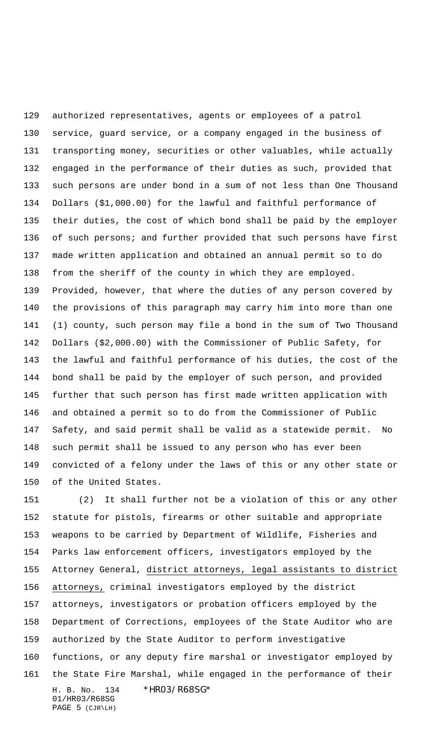authorized representatives, agents or employees of a patrol service, guard service, or a company engaged in the business of transporting money, securities or other valuables, while actually engaged in the performance of their duties as such, provided that such persons are under bond in a sum of not less than One Thousand Dollars (\$1,000.00) for the lawful and faithful performance of their duties, the cost of which bond shall be paid by the employer of such persons; and further provided that such persons have first made written application and obtained an annual permit so to do from the sheriff of the county in which they are employed. Provided, however, that where the duties of any person covered by the provisions of this paragraph may carry him into more than one (1) county, such person may file a bond in the sum of Two Thousand Dollars (\$2,000.00) with the Commissioner of Public Safety, for the lawful and faithful performance of his duties, the cost of the bond shall be paid by the employer of such person, and provided further that such person has first made written application with and obtained a permit so to do from the Commissioner of Public Safety, and said permit shall be valid as a statewide permit. No such permit shall be issued to any person who has ever been convicted of a felony under the laws of this or any other state or of the United States.

H. B. No. 134 \*HR03/R68SG\* 01/HR03/R68SG PAGE 5 (CJR\LH) (2) It shall further not be a violation of this or any other statute for pistols, firearms or other suitable and appropriate weapons to be carried by Department of Wildlife, Fisheries and Parks law enforcement officers, investigators employed by the Attorney General, district attorneys, legal assistants to district attorneys, criminal investigators employed by the district attorneys, investigators or probation officers employed by the Department of Corrections, employees of the State Auditor who are authorized by the State Auditor to perform investigative functions, or any deputy fire marshal or investigator employed by the State Fire Marshal, while engaged in the performance of their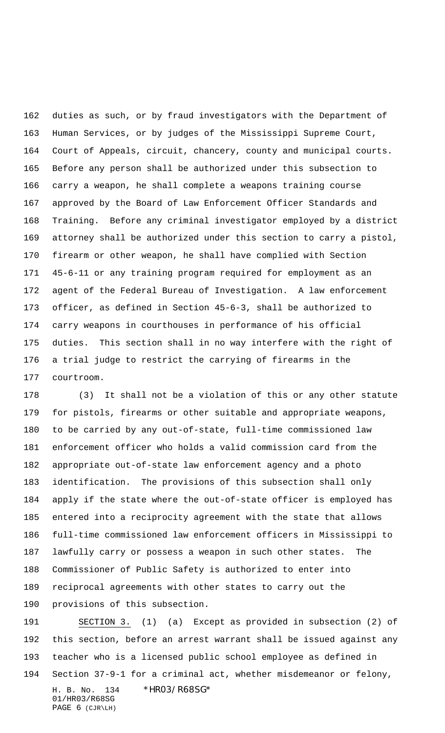duties as such, or by fraud investigators with the Department of Human Services, or by judges of the Mississippi Supreme Court, Court of Appeals, circuit, chancery, county and municipal courts. Before any person shall be authorized under this subsection to carry a weapon, he shall complete a weapons training course approved by the Board of Law Enforcement Officer Standards and Training. Before any criminal investigator employed by a district attorney shall be authorized under this section to carry a pistol, firearm or other weapon, he shall have complied with Section 45-6-11 or any training program required for employment as an agent of the Federal Bureau of Investigation. A law enforcement officer, as defined in Section 45-6-3, shall be authorized to carry weapons in courthouses in performance of his official duties. This section shall in no way interfere with the right of a trial judge to restrict the carrying of firearms in the courtroom.

 (3) It shall not be a violation of this or any other statute for pistols, firearms or other suitable and appropriate weapons, to be carried by any out-of-state, full-time commissioned law enforcement officer who holds a valid commission card from the appropriate out-of-state law enforcement agency and a photo identification. The provisions of this subsection shall only apply if the state where the out-of-state officer is employed has entered into a reciprocity agreement with the state that allows full-time commissioned law enforcement officers in Mississippi to lawfully carry or possess a weapon in such other states. The Commissioner of Public Safety is authorized to enter into reciprocal agreements with other states to carry out the provisions of this subsection.

H. B. No. 134 \*HR03/R68SG\* 01/HR03/R68SG PAGE 6 (CJR\LH) SECTION 3. (1) (a) Except as provided in subsection (2) of this section, before an arrest warrant shall be issued against any teacher who is a licensed public school employee as defined in Section 37-9-1 for a criminal act, whether misdemeanor or felony,